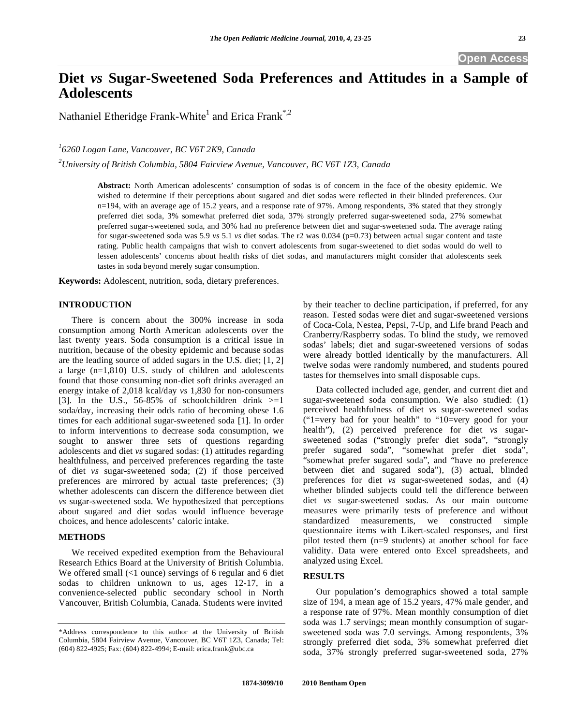# **Diet** *vs* **Sugar-Sweetened Soda Preferences and Attitudes in a Sample of Adolescents**

Nathaniel Etheridge Frank-White<sup>1</sup> and Erica Frank<sup>\*,2</sup>

*1 6260 Logan Lane, Vancouver, BC V6T 2K9, Canada* 

*2 University of British Columbia, 5804 Fairview Avenue, Vancouver, BC V6T 1Z3, Canada* 

**Abstract:** North American adolescents' consumption of sodas is of concern in the face of the obesity epidemic. We wished to determine if their perceptions about sugared and diet sodas were reflected in their blinded preferences. Our n=194, with an average age of 15.2 years, and a response rate of 97%. Among respondents, 3% stated that they strongly preferred diet soda, 3% somewhat preferred diet soda, 37% strongly preferred sugar-sweetened soda, 27% somewhat preferred sugar-sweetened soda, and 30% had no preference between diet and sugar-sweetened soda. The average rating for sugar-sweetened soda was 5.9 *vs* 5.1 *vs* diet sodas. The r2 was 0.034 (p=0.73) between actual sugar content and taste rating. Public health campaigns that wish to convert adolescents from sugar-sweetened to diet sodas would do well to lessen adolescents' concerns about health risks of diet sodas, and manufacturers might consider that adolescents seek tastes in soda beyond merely sugar consumption.

**Keywords:** Adolescent, nutrition, soda, dietary preferences.

## **INTRODUCTION**

 There is concern about the 300% increase in soda consumption among North American adolescents over the last twenty years. Soda consumption is a critical issue in nutrition, because of the obesity epidemic and because sodas are the leading source of added sugars in the U.S. diet; [1, 2] a large (n=1,810) U.S. study of children and adolescents found that those consuming non-diet soft drinks averaged an energy intake of 2,018 kcal/day *vs* 1,830 for non-consumers [3]. In the U.S., 56-85% of schoolchildren drink  $>=1$ soda/day, increasing their odds ratio of becoming obese 1.6 times for each additional sugar-sweetened soda [1]. In order to inform interventions to decrease soda consumption, we sought to answer three sets of questions regarding adolescents and diet *vs* sugared sodas: (1) attitudes regarding healthfulness, and perceived preferences regarding the taste of diet *vs* sugar-sweetened soda; (2) if those perceived preferences are mirrored by actual taste preferences; (3) whether adolescents can discern the difference between diet *vs* sugar-sweetened soda. We hypothesized that perceptions about sugared and diet sodas would influence beverage choices, and hence adolescents' caloric intake.

## **METHODS**

 We received expedited exemption from the Behavioural Research Ethics Board at the University of British Columbia. We offered small (<1 ounce) servings of 6 regular and 6 diet sodas to children unknown to us, ages 12-17, in a convenience-selected public secondary school in North Vancouver, British Columbia, Canada. Students were invited

by their teacher to decline participation, if preferred, for any reason. Tested sodas were diet and sugar-sweetened versions of Coca-Cola, Nestea, Pepsi, 7-Up, and Life brand Peach and Cranberry/Raspberry sodas. To blind the study, we removed sodas' labels; diet and sugar-sweetened versions of sodas were already bottled identically by the manufacturers. All twelve sodas were randomly numbered, and students poured tastes for themselves into small disposable cups.

 Data collected included age, gender, and current diet and sugar-sweetened soda consumption. We also studied: (1) perceived healthfulness of diet *vs* sugar-sweetened sodas ("1=very bad for your health" to "10=very good for your health"), (2) perceived preference for diet *vs* sugarsweetened sodas ("strongly prefer diet soda", "strongly prefer sugared soda", "somewhat prefer diet soda", "somewhat prefer sugared soda", and "have no preference between diet and sugared soda"), (3) actual, blinded preferences for diet *vs* sugar-sweetened sodas, and (4) whether blinded subjects could tell the difference between diet *vs* sugar-sweetened sodas. As our main outcome measures were primarily tests of preference and without standardized measurements, we constructed simple questionnaire items with Likert-scaled responses, and first pilot tested them (n=9 students) at another school for face validity. Data were entered onto Excel spreadsheets, and analyzed using Excel.

# **RESULTS**

 Our population's demographics showed a total sample size of 194, a mean age of 15.2 years, 47% male gender, and a response rate of 97%. Mean monthly consumption of diet soda was 1.7 servings; mean monthly consumption of sugarsweetened soda was 7.0 servings. Among respondents, 3% strongly preferred diet soda, 3% somewhat preferred diet soda, 37% strongly preferred sugar-sweetened soda, 27%

<sup>\*</sup>Address correspondence to this author at the University of British Columbia, 5804 Fairview Avenue, Vancouver, BC V6T 1Z3, Canada; Tel: (604) 822-4925; Fax: (604) 822-4994; E-mail: erica.frank@ubc.ca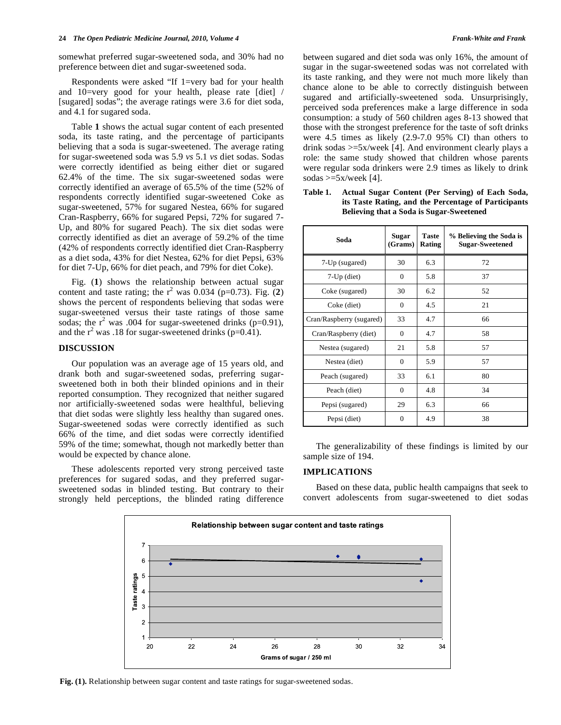somewhat preferred sugar-sweetened soda, and 30% had no preference between diet and sugar-sweetened soda.

 Respondents were asked "If 1=very bad for your health and 10=very good for your health, please rate [diet] / [sugared] sodas"; the average ratings were 3.6 for diet soda, and 4.1 for sugared soda.

 Table **1** shows the actual sugar content of each presented soda, its taste rating, and the percentage of participants believing that a soda is sugar-sweetened. The average rating for sugar-sweetened soda was 5.9 *vs* 5.1 *vs* diet sodas. Sodas were correctly identified as being either diet or sugared 62.4% of the time. The six sugar-sweetened sodas were correctly identified an average of 65.5% of the time (52% of respondents correctly identified sugar-sweetened Coke as sugar-sweetened, 57% for sugared Nestea, 66% for sugared Cran-Raspberry, 66% for sugared Pepsi, 72% for sugared 7- Up, and 80% for sugared Peach). The six diet sodas were correctly identified as diet an average of 59.2% of the time (42% of respondents correctly identified diet Cran-Raspberry as a diet soda, 43% for diet Nestea, 62% for diet Pepsi, 63% for diet 7-Up, 66% for diet peach, and 79% for diet Coke).

 Fig. (**1**) shows the relationship between actual sugar content and taste rating; the  $r^2$  was 0.034 (p=0.73). Fig. (2) shows the percent of respondents believing that sodas were sugar-sweetened versus their taste ratings of those same sodas; the  $r^2$  was .004 for sugar-sweetened drinks (p=0.91), and the  $r^2$  was .18 for sugar-sweetened drinks (p=0.41).

# **DISCUSSION**

 Our population was an average age of 15 years old, and drank both and sugar-sweetened sodas, preferring sugarsweetened both in both their blinded opinions and in their reported consumption. They recognized that neither sugared nor artificially-sweetened sodas were healthful, believing that diet sodas were slightly less healthy than sugared ones. Sugar-sweetened sodas were correctly identified as such 66% of the time, and diet sodas were correctly identified 59% of the time; somewhat, though not markedly better than would be expected by chance alone.

 These adolescents reported very strong perceived taste preferences for sugared sodas, and they preferred sugarsweetened sodas in blinded testing. But contrary to their strongly held perceptions, the blinded rating difference between sugared and diet soda was only 16%, the amount of sugar in the sugar-sweetened sodas was not correlated with its taste ranking, and they were not much more likely than chance alone to be able to correctly distinguish between sugared and artificially-sweetened soda. Unsurprisingly, perceived soda preferences make a large difference in soda consumption: a study of 560 children ages 8-13 showed that those with the strongest preference for the taste of soft drinks were 4.5 times as likely (2.9-7.0 95% CI) than others to drink sodas >=5x/week [4]. And environment clearly plays a role: the same study showed that children whose parents were regular soda drinkers were 2.9 times as likely to drink sodas  $>=5x/week$  [4].

**Table 1. Actual Sugar Content (Per Serving) of Each Soda, its Taste Rating, and the Percentage of Participants Believing that a Soda is Sugar-Sweetened** 

**Taste Rating**

**(Grams)**

7-Up (sugared)  $\begin{array}{|c|c|c|} \hline \end{array}$  30 6.3 72 7-Up (diet) 0 5.8 37

**Soda Sugar** 

| Coke (sugared)           | 30       | 6.2 | 52 |
|--------------------------|----------|-----|----|
| Coke (diet)              | $\Omega$ | 4.5 | 21 |
| Cran/Raspberry (sugared) | 33       | 4.7 | 66 |
| Cran/Raspberry (diet)    | $\Omega$ | 4.7 | 58 |
| Nestea (sugared)         | 21       | 5.8 | 57 |
| Nestea (diet)            | $\Omega$ | 5.9 | 57 |
| Peach (sugared)          | 33       | 6.1 | 80 |
| Peach (diet)             | $\Omega$ | 4.8 | 34 |
| Pepsi (sugared)          | 29       | 6.3 | 66 |
| Pepsi (diet)             | 0        | 4.9 | 38 |

 The generalizability of these findings is limited by our sample size of 194.

#### **IMPLICATIONS**

 Based on these data, public health campaigns that seek to convert adolescents from sugar-sweetened to diet sodas



**Fig. (1).** Relationship between sugar content and taste ratings for sugar-sweetened sodas.

**% Believing the Soda is Sugar-Sweetened**